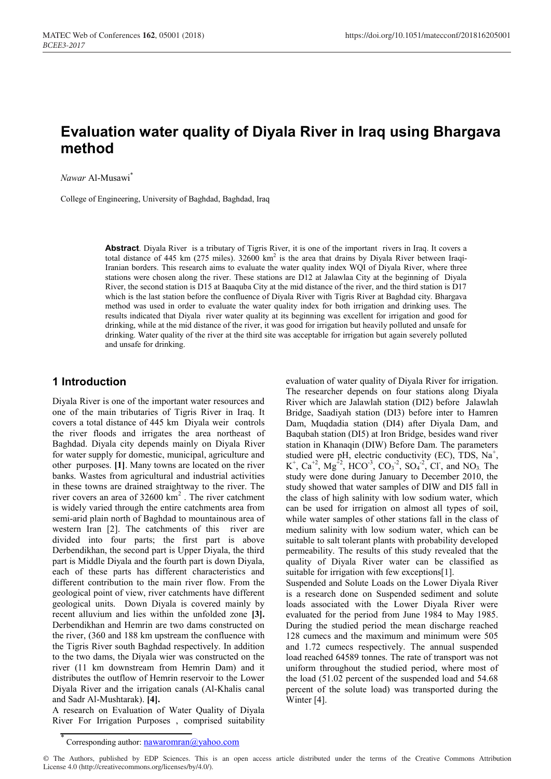# **Evaluation water quality of Diyala River in Iraq using Bhargava method**

*Nawar* Al-Musawi\*

College of Engineering, University of Baghdad, Baghdad, Iraq

**Abstract**. Diyala River is a tributary of Tigris River, it is one of the important rivers in Iraq. It covers a total distance of 445 km (275 miles). 32600 km<sup>2</sup> is the area that drains by Diyala River between Iraqi-Iranian borders. This research aims to evaluate the water quality index WQI of Diyala River, where three stations were chosen along the river. These stations are D12 at Jalawlaa City at the beginning of Diyala River, the second station is D15 at Baaquba City at the mid distance of the river, and the third station is D17 which is the last station before the confluence of Diyala River with Tigris River at Baghdad city. Bhargava method was used in order to evaluate the water quality index for both irrigation and drinking uses. The results indicated that Diyala river water quality at its beginning was excellent for irrigation and good for drinking, while at the mid distance of the river, it was good for irrigation but heavily polluted and unsafe for drinking. Water quality of the river at the third site was acceptable for irrigation but again severely polluted and unsafe for drinking.

#### **1 Introduction**

Diyala River is one of the important water resources and one of the main tributaries of Tigris River in Iraq. It covers a total distance of 445 km Diyala weir controls the river floods and irrigates the area northeast of Baghdad. Diyala city depends mainly on Diyala River for water supply for domestic, municipal, agriculture and other purposes. **[1]**. Many towns are located on the river banks. Wastes from agricultural and industrial activities in these towns are drained straightway to the river. The river covers an area of  $32600 \text{ km}^2$ . The river catchment is widely varied through the entire catchments area from semi-arid plain north of Baghdad to mountainous area of western Iran [2]. The catchments of this river are divided into four parts; the first part is above Derbendikhan, the second part is Upper Diyala, the third part is Middle Diyala and the fourth part is down Diyala, each of these parts has different characteristics and different contribution to the main river flow. From the geological point of view, river catchments have different geological units. Down Diyala is covered mainly by recent alluvium and lies within the unfolded zone **[3].**  Derbendikhan and Hemrin are two dams constructed on the river, (360 and 188 km upstream the confluence with the Tigris River south Baghdad respectively. In addition to the two dams, the Diyala wier was constructed on the river (11 km downstream from Hemrin Dam) and it distributes the outflow of Hemrin reservoir to the Lower Diyala River and the irrigation canals (Al-Khalis canal and Sadr Al-Mushtarak). **[4].** 

A research on Evaluation of Water Quality of Diyala River For Irrigation Purposes , comprised suitability evaluation of water quality of Diyala River for irrigation. The researcher depends on four stations along Diyala River which are Jalawlah station (DI2) before Jalawlah Bridge, Saadiyah station (DI3) before inter to Hamren Dam, Muqdadia station (DI4) after Diyala Dam, and Baqubah station (DI5) at Iron Bridge, besides wand river station in Khanaqin (DIW) Before Dam. The parameters studied were pH, electric conductivity (EC), TDS, Na<sup>+</sup>,  $K^+$ ,  $Ca^{+2}$ ,  $Mg^{+2}$ ,  $HCO^{-3}$ ,  $CO_3^{-2}$ ,  $SO_4^{-2}$ ,  $Cl^-$ , and  $NO_3$ . The study were done during January to December 2010, the study showed that water samples of DIW and DI5 fall in the class of high salinity with low sodium water, which can be used for irrigation on almost all types of soil, while water samples of other stations fall in the class of medium salinity with low sodium water, which can be suitable to salt tolerant plants with probability developed permeability. The results of this study revealed that the quality of Diyala River water can be classified as suitable for irrigation with few exceptions[1].

Suspended and Solute Loads on the Lower Diyala River is a research done on Suspended sediment and solute loads associated with the Lower Diyala River were evaluated for the period from June 1984 to May 1985. During the studied period the mean discharge reached 128 cumecs and the maximum and minimum were 505 and 1.72 cumecs respectively. The annual suspended load reached 64589 tonnes. The rate of transport was not uniform throughout the studied period, where most of the load (51.02 percent of the suspended load and 54.68 percent of the solute load) was transported during the Winter [4].

<sup>\*</sup> Corresponding author: nawaromran@yahoo.com

<sup>©</sup> The Authors, published by EDP Sciences. This is an open access article distributed under the terms of the Creative Commons Attribution License 4.0 (http://creativecommons.org/licenses/by/4.0/).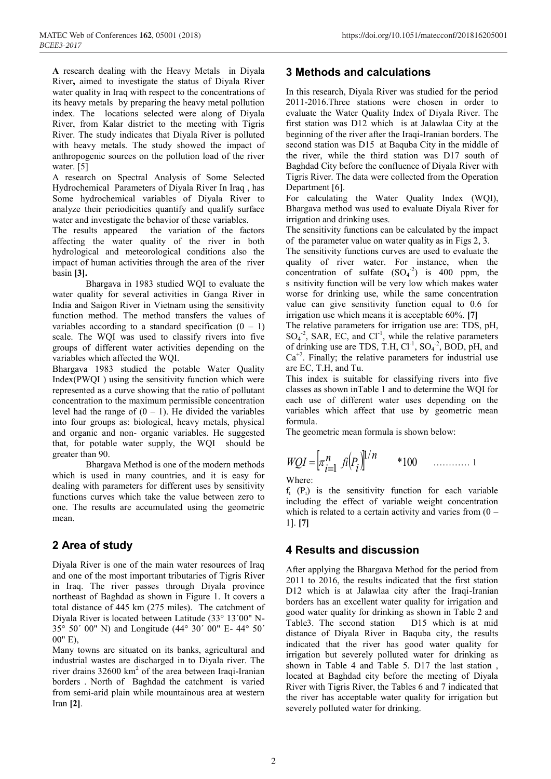**A** research dealing with the Heavy Metals in Diyala River**,** aimed to investigate the status of Diyala River water quality in Iraq with respect to the concentrations of its heavy metals by preparing the heavy metal pollution index. The locations selected were along of Diyala River, from Kalar district to the meeting with Tigris River. The study indicates that Diyala River is polluted with heavy metals. The study showed the impact of anthropogenic sources on the pollution load of the river water. [5]

A research on Spectral Analysis of Some Selected Hydrochemical Parameters of Diyala River In Iraq , has Some hydrochemical variables of Diyala River to analyze their periodicities quantify and qualify surface water and investigate the behavior of these variables.

The results appeared the variation of the factors affecting the water quality of the river in both hydrological and meteorological conditions also the impact of human activities through the area of the river basin **[3].**

Bhargava in 1983 studied WQI to evaluate the water quality for several activities in Ganga River in India and Saigon River in Vietnam using the sensitivity function method. The method transfers the values of variables according to a standard specification  $(0 - 1)$ scale. The WQI was used to classify rivers into five groups of different water activities depending on the variables which affected the WQI.

Bhargava 1983 studied the potable Water Quality Index(PWQI ) using the sensitivity function which were represented as a curve showing that the ratio of pollutant concentration to the maximum permissible concentration level had the range of  $(0 - 1)$ . He divided the variables into four groups as: biological, heavy metals, physical and organic and non- organic variables. He suggested that, for potable water supply, the WQI should be greater than 90.

Bhargava Method is one of the modern methods which is used in many countries, and it is easy for dealing with parameters for different uses by sensitivity functions curves which take the value between zero to one. The results are accumulated using the geometric mean.

## **2 Area of study**

Diyala River is one of the main water resources of Iraq and one of the most important tributaries of Tigris River in Iraq. The river passes through Diyala province northeast of Baghdad as shown in Figure 1. It covers a total distance of 445 km (275 miles). The catchment of Diyala River is located between Latitude (33° 13´00" N-35° 50´ 00" N) and Longitude (44° 30´ 00" E- 44° 50´ 00" E),

Many towns are situated on its banks, agricultural and industrial wastes are discharged in to Diyala river. The river drains 32600 km<sup>2</sup> of the area between Iraqi-Iranian borders . North of Baghdad the catchment is varied from semi-arid plain while mountainous area at western Iran **[2]**.

# **3 Methods and calculations**

In this research, Diyala River was studied for the period 2011-2016.Three stations were chosen in order to evaluate the Water Quality Index of Diyala River. The first station was D12 which is at Jalawlaa City at the beginning of the river after the Iraqi-Iranian borders. The second station was D15 at Baquba City in the middle of the river, while the third station was D17 south of Baghdad City before the confluence of Diyala River with Tigris River. The data were collected from the Operation Department [6].

For calculating the Water Quality Index (WQI), Bhargava method was used to evaluate Diyala River for irrigation and drinking uses.

The sensitivity functions can be calculated by the impact of the parameter value on water quality as in Figs 2, 3.

The sensitivity functions curves are used to evaluate the quality of river water. For instance, when the concentration of sulfate  $(SO<sub>4</sub><sup>-2</sup>)$  is 400 ppm, the s nsitivity function will be very low which makes water worse for drinking use, while the same concentration value can give sensitivity function equal to 0.6 for irrigation use which means it is acceptable 60%. **[7]**

The relative parameters for irrigation use are: TDS, pH,  $SO_4^{\text{-2}}$ , SAR, EC, and  $Cl^{\text{-1}}$ , while the relative parameters of drinking use are TDS, T.H,  $Cl^{-1}$ ,  $SO_4^{-2}$ , BOD, pH, and  $Ca<sup>+2</sup>$ . Finally; the relative parameters for industrial use are EC, T.H, and Tu.

This index is suitable for classifying rivers into five classes as shown inTable 1 and to determine the WQI for each use of different water uses depending on the variables which affect that use by geometric mean formula.

The geometric mean formula is shown below:

$$
WQI = \left[\pi_{i=1}^n \text{ } f_i(P_i)\right]^{1/n} \qquad *100 \qquad \dots \dots \dots \dots \dots \dots
$$

Where:

 $f_i$  (P<sub>i</sub>) is the sensitivity function for each variable including the effect of variable weight concentration which is related to a certain activity and varies from  $(0 -$ 1]. **[7]**

### **4 Results and discussion**

After applying the Bhargava Method for the period from 2011 to 2016, the results indicated that the first station D12 which is at Jalawlaa city after the Iraqi-Iranian borders has an excellent water quality for irrigation and good water quality for drinking as shown in Table 2 and Table3. The second station D15 which is at mid distance of Diyala River in Baquba city, the results indicated that the river has good water quality for irrigation but severely polluted water for drinking as shown in Table 4 and Table 5. D17 the last station , located at Baghdad city before the meeting of Diyala River with Tigris River, the Tables 6 and 7 indicated that the river has acceptable water quality for irrigation but severely polluted water for drinking.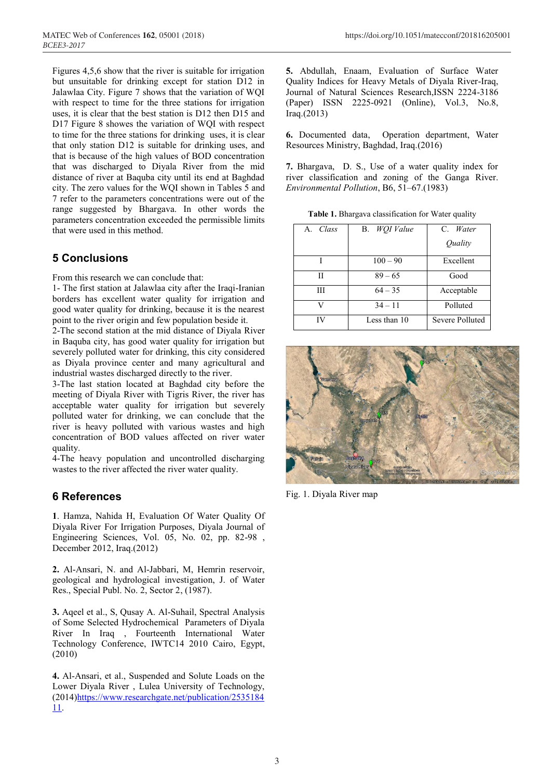Figures 4,5,6 show that the river is suitable for irrigation but unsuitable for drinking except for station D12 in Jalawlaa City. Figure 7 shows that the variation of WQI with respect to time for the three stations for irrigation uses, it is clear that the best station is D12 then D15 and D17 Figure 8 showes the variation of WQI with respect to time for the three stations for drinking uses, it is clear that only station D12 is suitable for drinking uses, and that is because of the high values of BOD concentration that was discharged to Diyala River from the mid distance of river at Baquba city until its end at Baghdad city. The zero values for the WQI shown in Tables 5 and 7 refer to the parameters concentrations were out of the range suggested by Bhargava. In other words the parameters concentration exceeded the permissible limits that were used in this method.

### **5 Conclusions**

From this research we can conclude that:

1- The first station at Jalawlaa city after the Iraqi-Iranian borders has excellent water quality for irrigation and good water quality for drinking, because it is the nearest point to the river origin and few population beside it.

2-The second station at the mid distance of Diyala River in Baquba city, has good water quality for irrigation but severely polluted water for drinking, this city considered as Diyala province center and many agricultural and industrial wastes discharged directly to the river.

3-The last station located at Baghdad city before the meeting of Diyala River with Tigris River, the river has acceptable water quality for irrigation but severely polluted water for drinking, we can conclude that the river is heavy polluted with various wastes and high concentration of BOD values affected on river water quality.

4-The heavy population and uncontrolled discharging wastes to the river affected the river water quality.

#### **6 References**

**1**. Hamza, Nahida H, Evaluation Of Water Quality Of Diyala River For Irrigation Purposes, Diyala Journal of Engineering Sciences, Vol. 05, No. 02, pp. 82-98 , December 2012, Iraq.(2012)

**2.** Al-Ansari, N. and Al-Jabbari, M, Hemrin reservoir, geological and hydrological investigation, J. of Water Res., Special Publ. No. 2, Sector 2, (1987).

**3.** Aqeel et al., S, Qusay A. Al-Suhail, Spectral Analysis of Some Selected Hydrochemical Parameters of Diyala River In Iraq , Fourteenth International Water Technology Conference, IWTC14 2010 Cairo, Egypt, (2010)

**4.** Al-Ansari, et al., Suspended and Solute Loads on the Lower Diyala River , Lulea University of Technology, (2014)https://www.researchgate.net/publication/2535184 11.

**5.** Abdullah, Enaam, Evaluation of Surface Water Quality Indices for Heavy Metals of Diyala River-Iraq, Journal of Natural Sciences Research,ISSN 2224-3186 (Paper) ISSN 2225-0921 (Online), Vol.3, No.8, Iraq.(2013)

**6.** Documented data, Operation department, Water Resources Ministry, Baghdad, Iraq.(2016)

**7.** Bhargava, D. S., Use of a water quality index for river classification and zoning of the Ganga River. *Environmental Pollution*, B6, 51–67.(1983)

**Table 1.** Bhargava classification for Water quality

| A. Class | B. WQI Value | C. Water<br>Quality |
|----------|--------------|---------------------|
|          | $100 - 90$   | Excellent           |
| Н        | $89 - 65$    | Good                |
| Ш        | $64 - 35$    | Acceptable          |
| V        | $34 - 11$    | Polluted            |
| IV       | Less than 10 | Severe Polluted     |



Fig. 1. Diyala River map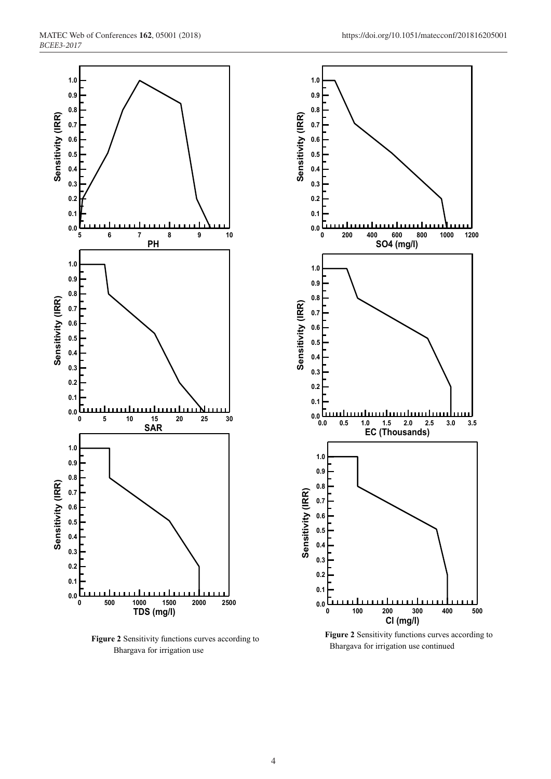

**Figure 2** Sensitivity functions curves according to Bhargava for irrigation use



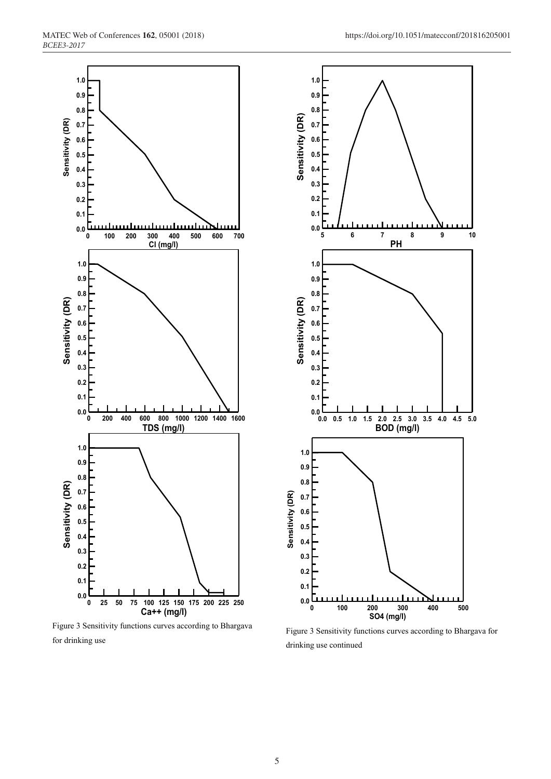

Figure 3 Sensitivity functions curves according to Bhargava for drinking use



Figure 3 Sensitivity functions curves according to Bhargava for drinking use continued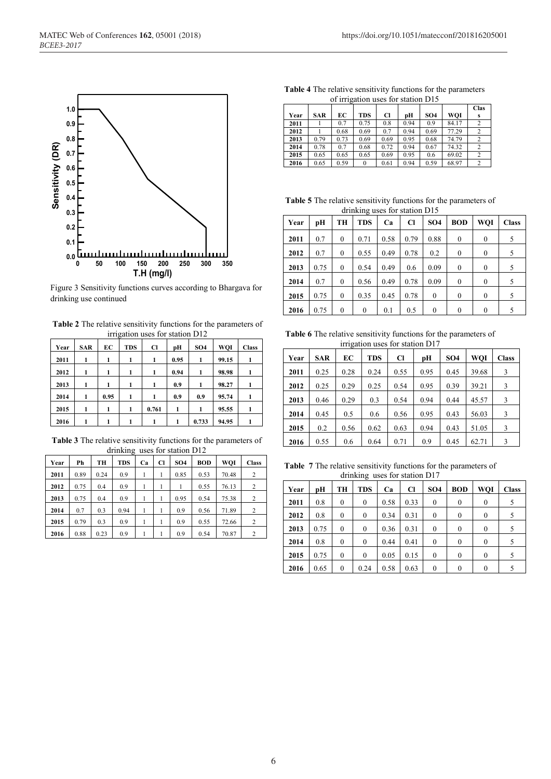

Figure 3 Sensitivity functions curves according to Bhargava for drinking use continued

**Table 2** The relative sensitivity functions for the parameters of irrigation uses for station D12

| Year | SAR | EC   | <b>TDS</b> | Cl    | pН   | SO <sub>4</sub> | WQI   | <b>Class</b> |
|------|-----|------|------------|-------|------|-----------------|-------|--------------|
| 2011 | 1   | 1    | 1          | 1     | 0.95 | 1               | 99.15 |              |
| 2012 | 1   | 1    | 1          |       | 0.94 |                 | 98.98 |              |
| 2013 | 1   | 1    | 1          |       | 0.9  | 1               | 98.27 |              |
| 2014 | 1   | 0.95 | 1          | 1     | 0.9  | 0.9             | 95.74 |              |
| 2015 | 1   | 1    | 1          | 0.761 | 1    | 1               | 95.55 |              |
| 2016 |     |      |            |       |      | 0.733           | 94.95 |              |

**Table 3** The relative sensitivity functions for the parameters of drinking uses for station D12

| Year | Ph   | TН   | <b>TDS</b> | Ca | Cl | SO <sub>4</sub> | <b>BOD</b> | WOI   | <b>Class</b>   |
|------|------|------|------------|----|----|-----------------|------------|-------|----------------|
| 2011 | 0.89 | 0.24 | 0.9        |    | 1  | 0.85            | 0.53       | 70.48 | 2              |
| 2012 | 0.75 | 0.4  | 0.9        |    |    | 1               | 0.55       | 76.13 | 2              |
| 2013 | 0.75 | 0.4  | 0.9        |    |    | 0.95            | 0.54       | 75.38 | $\overline{2}$ |
| 2014 | 0.7  | 0.3  | 0.94       |    |    | 0.9             | 0.56       | 71.89 | 2              |
| 2015 | 0.79 | 0.3  | 0.9        |    |    | 0.9             | 0.55       | 72.66 | 2              |
| 2016 | 0.88 | 0.23 | 0.9        |    |    | 0.9             | 0.54       | 70.87 | $\overline{c}$ |

**Table 4** The relative sensitivity functions for the parameters of irrigation uses for station D15

| $\frac{1}{2}$ |            |      |            |      |      |                 |       |                         |  |
|---------------|------------|------|------------|------|------|-----------------|-------|-------------------------|--|
|               |            |      |            |      |      |                 |       | <b>Clas</b>             |  |
| Year          | <b>SAR</b> | EС   | <b>TDS</b> | Cl   | pН   | SO <sub>4</sub> | WOI   | s                       |  |
| 2011          |            | 0.7  | 0.75       | 0.8  | 0.94 | 0.9             | 84.17 |                         |  |
| 2012          |            | 0.68 | 0.69       | 0.7  | 0.94 | 0.69            | 77.29 |                         |  |
| 2013          | 0.79       | 0.73 | 0.69       | 0.69 | 0.95 | 0.68            | 74.79 |                         |  |
| 2014          | 0.78       | 0.7  | 0.68       | 0.72 | 0.94 | 0.67            | 74.32 |                         |  |
| 2015          | 0.65       | 0.65 | 0.65       | 0.69 | 0.95 | 0.6             | 69.02 | $\overline{\mathbf{c}}$ |  |
| 2016          | 0.65       | 0.59 | $\theta$   | 0.61 | 0.94 | 0.59            | 68.97 | $\overline{c}$          |  |

**Table 5** The relative sensitivity functions for the parameters of drinking uses for station D15

|      |      |                  | ~            |      |      |                 |                  |          |              |
|------|------|------------------|--------------|------|------|-----------------|------------------|----------|--------------|
| Year | рH   | TH               | <b>TDS</b>   | Ca   | Cl   | SO <sub>4</sub> | <b>BOD</b>       | WOI      | <b>Class</b> |
| 2011 | 0.7  | $\mathbf{0}$     | 0.71         | 0.58 | 0.79 | 0.88            | $\theta$         | $\theta$ | 5            |
| 2012 | 0.7  | $\boldsymbol{0}$ | 0.55         | 0.49 | 0.78 | 0.2             | $\boldsymbol{0}$ | $\theta$ | 5            |
| 2013 | 0.75 | $\theta$         | 0.54         | 0.49 | 0.6  | 0.09            | $\theta$         | $\theta$ | 5            |
| 2014 | 0.7  | $\boldsymbol{0}$ | 0.56         | 0.49 | 0.78 | 0.09            | $\theta$         | $\theta$ | 5            |
| 2015 | 0.75 | $\theta$         | 0.35         | 0.45 | 0.78 | $\mathbf{0}$    | $\theta$         | $\theta$ | 5            |
| 2016 | 0.75 | $\theta$         | $\mathbf{0}$ | 0.1  | 0.5  | $\mathbf{0}$    | $\theta$         | $\theta$ | 5            |

**Table 6** The relative sensitivity functions for the parameters of irrigation uses for station D17

| $\sim$ |            |      |            |           |      |                 |            |              |
|--------|------------|------|------------|-----------|------|-----------------|------------|--------------|
| Year   | <b>SAR</b> | EC   | <b>TDS</b> | <b>Cl</b> | pН   | SO <sub>4</sub> | <b>WOI</b> | <b>Class</b> |
| 2011   | 0.25       | 0.28 | 0.24       | 0.55      | 0.95 | 0.45            | 39.68      | 3            |
| 2012   | 0.25       | 0.29 | 0.25       | 0.54      | 0.95 | 0.39            | 39.21      | 3            |
| 2013   | 0.46       | 0.29 | 0.3        | 0.54      | 0.94 | 0.44            | 45.57      | 3            |
| 2014   | 0.45       | 0.5  | 0.6        | 0.56      | 0.95 | 0.43            | 56.03      | 3            |
| 2015   | 0.2        | 0.56 | 0.62       | 0.63      | 0.94 | 0.43            | 51.05      | 3            |
| 2016   | 0.55       | 0.6  | 0.64       | 0.71      | 0.9  | 0.45            | 62.71      | 3            |

**Table 7** The relative sensitivity functions for the parameters of drinking uses for station D17

| $\alpha$ and $\alpha$ and $\alpha$ and $\alpha$ and $\alpha$ and $\alpha$ and $\alpha$ and $\alpha$ and $\alpha$ and $\alpha$ and $\alpha$ and $\alpha$ and $\alpha$ and $\alpha$ and $\alpha$ and $\alpha$ and $\alpha$ and $\alpha$ and $\alpha$ and $\alpha$ and $\alpha$ and $\alpha$ and $\alpha$ and $\alpha$ and $\alpha$ |      |              |              |      |      |                 |              |              |              |  |
|----------------------------------------------------------------------------------------------------------------------------------------------------------------------------------------------------------------------------------------------------------------------------------------------------------------------------------|------|--------------|--------------|------|------|-----------------|--------------|--------------|--------------|--|
| Year                                                                                                                                                                                                                                                                                                                             | рH   | TH           | <b>TDS</b>   | Ca   | Cl   | SO <sub>4</sub> | <b>BOD</b>   | WQI          | <b>Class</b> |  |
| 2011                                                                                                                                                                                                                                                                                                                             | 0.8  | $\mathbf{0}$ | $\mathbf{0}$ | 0.58 | 0.33 | $\theta$        | $\mathbf{0}$ | $\theta$     | 5            |  |
| 2012                                                                                                                                                                                                                                                                                                                             | 0.8  | $\mathbf{0}$ | $\mathbf{0}$ | 0.34 | 0.31 | $\theta$        | $\mathbf{0}$ | $\mathbf{0}$ | 5            |  |
| 2013                                                                                                                                                                                                                                                                                                                             | 0.75 | $\theta$     | $\theta$     | 0.36 | 0.31 | $\theta$        | $\theta$     | $\theta$     | 5            |  |
| 2014                                                                                                                                                                                                                                                                                                                             | 0.8  | $\mathbf{0}$ | $\Omega$     | 0.44 | 0.41 | $\theta$        | $\theta$     | $\theta$     | 5            |  |
| 2015                                                                                                                                                                                                                                                                                                                             | 0.75 | $\mathbf{0}$ | $\theta$     | 0.05 | 0.15 | $\theta$        | $\theta$     | $\theta$     | 5            |  |
| 2016                                                                                                                                                                                                                                                                                                                             | 0.65 | $\theta$     | 0.24         | 0.58 | 0.63 | $\theta$        | 0            | $\theta$     |              |  |